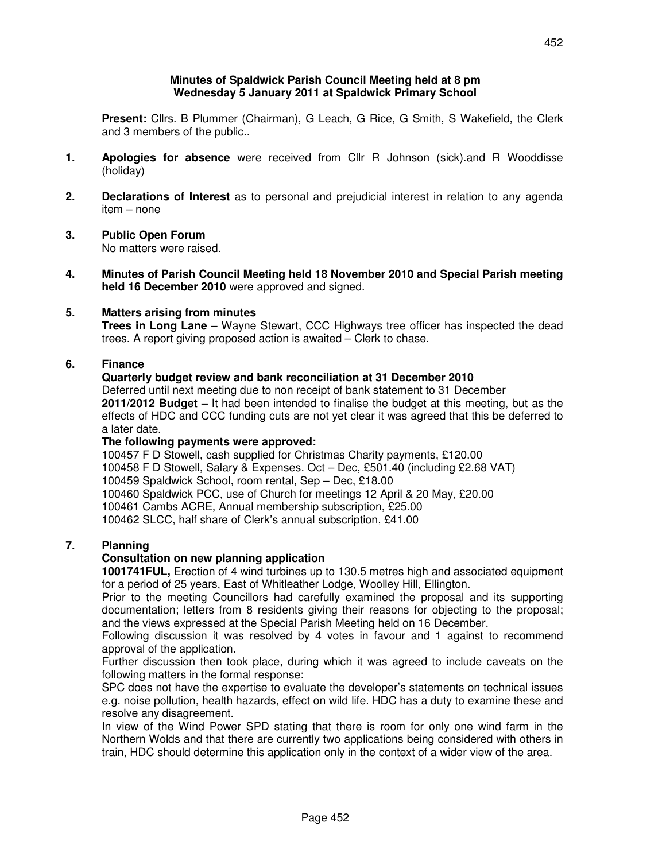#### **Minutes of Spaldwick Parish Council Meeting held at 8 pm Wednesday 5 January 2011 at Spaldwick Primary School**

 **Present:** Cllrs. B Plummer (Chairman), G Leach, G Rice, G Smith, S Wakefield, the Clerk and 3 members of the public..

- **1. Apologies for absence** were received from Cllr R Johnson (sick).and R Wooddisse (holiday)
- **2. Declarations of Interest** as to personal and prejudicial interest in relation to any agenda item – none
- **3. Public Open Forum**  No matters were raised.
- **4. Minutes of Parish Council Meeting held 18 November 2010 and Special Parish meeting held 16 December 2010** were approved and signed.

#### **5. Matters arising from minutes**

 **Trees in Long Lane –** Wayne Stewart, CCC Highways tree officer has inspected the dead trees. A report giving proposed action is awaited – Clerk to chase.

#### **6. Finance**

# **Quarterly budget review and bank reconciliation at 31 December 2010**

Deferred until next meeting due to non receipt of bank statement to 31 December **2011/2012 Budget –** It had been intended to finalise the budget at this meeting, but as the effects of HDC and CCC funding cuts are not yet clear it was agreed that this be deferred to a later date.

#### **The following payments were approved:**

100457 F D Stowell, cash supplied for Christmas Charity payments, £120.00 100458 F D Stowell, Salary & Expenses. Oct – Dec, £501.40 (including £2.68 VAT) 100459 Spaldwick School, room rental, Sep – Dec, £18.00 100460 Spaldwick PCC, use of Church for meetings 12 April & 20 May, £20.00 100461 Cambs ACRE, Annual membership subscription, £25.00

100462 SLCC, half share of Clerk's annual subscription, £41.00

# **7. Planning**

### **Consultation on new planning application**

 **1001741FUL,** Erection of 4 wind turbines up to 130.5 metres high and associated equipment for a period of 25 years, East of Whitleather Lodge, Woolley Hill, Ellington.

 Prior to the meeting Councillors had carefully examined the proposal and its supporting documentation; letters from 8 residents giving their reasons for objecting to the proposal; and the views expressed at the Special Parish Meeting held on 16 December.

 Following discussion it was resolved by 4 votes in favour and 1 against to recommend approval of the application.

 Further discussion then took place, during which it was agreed to include caveats on the following matters in the formal response:

 SPC does not have the expertise to evaluate the developer's statements on technical issues e.g. noise pollution, health hazards, effect on wild life. HDC has a duty to examine these and resolve any disagreement.

 In view of the Wind Power SPD stating that there is room for only one wind farm in the Northern Wolds and that there are currently two applications being considered with others in train, HDC should determine this application only in the context of a wider view of the area.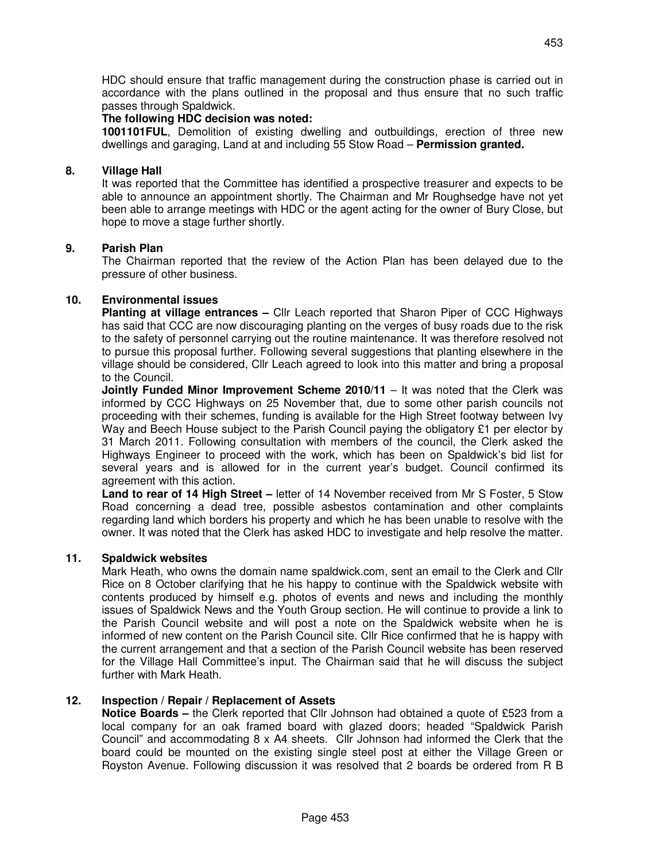HDC should ensure that traffic management during the construction phase is carried out in accordance with the plans outlined in the proposal and thus ensure that no such traffic passes through Spaldwick.

#### **The following HDC decision was noted:**

 **1001101FUL**, Demolition of existing dwelling and outbuildings, erection of three new dwellings and garaging, Land at and including 55 Stow Road – **Permission granted.** 

### **8. Village Hall**

It was reported that the Committee has identified a prospective treasurer and expects to be able to announce an appointment shortly. The Chairman and Mr Roughsedge have not yet been able to arrange meetings with HDC or the agent acting for the owner of Bury Close, but hope to move a stage further shortly.

# **9. Parish Plan**

 The Chairman reported that the review of the Action Plan has been delayed due to the pressure of other business.

# **10. Environmental issues**

**Planting at village entrances –** Cllr Leach reported that Sharon Piper of CCC Highways has said that CCC are now discouraging planting on the verges of busy roads due to the risk to the safety of personnel carrying out the routine maintenance. It was therefore resolved not to pursue this proposal further. Following several suggestions that planting elsewhere in the village should be considered, Cllr Leach agreed to look into this matter and bring a proposal to the Council.

 **Jointly Funded Minor Improvement Scheme 2010/11** – It was noted that the Clerk was informed by CCC Highways on 25 November that, due to some other parish councils not proceeding with their schemes, funding is available for the High Street footway between Ivy Way and Beech House subject to the Parish Council paying the obligatory £1 per elector by 31 March 2011. Following consultation with members of the council, the Clerk asked the Highways Engineer to proceed with the work, which has been on Spaldwick's bid list for several years and is allowed for in the current year's budget. Council confirmed its agreement with this action.

**Land to rear of 14 High Street –** letter of 14 November received from Mr S Foster, 5 Stow Road concerning a dead tree, possible asbestos contamination and other complaints regarding land which borders his property and which he has been unable to resolve with the owner. It was noted that the Clerk has asked HDC to investigate and help resolve the matter.

### **11. Spaldwick websites**

Mark Heath, who owns the domain name spaldwick.com, sent an email to the Clerk and Cllr Rice on 8 October clarifying that he his happy to continue with the Spaldwick website with contents produced by himself e.g. photos of events and news and including the monthly issues of Spaldwick News and the Youth Group section. He will continue to provide a link to the Parish Council website and will post a note on the Spaldwick website when he is informed of new content on the Parish Council site. Cllr Rice confirmed that he is happy with the current arrangement and that a section of the Parish Council website has been reserved for the Village Hall Committee's input. The Chairman said that he will discuss the subject further with Mark Heath.

# **12. Inspection / Repair / Replacement of Assets**

**Notice Boards –** the Clerk reported that Cllr Johnson had obtained a quote of £523 from a local company for an oak framed board with glazed doors; headed "Spaldwick Parish Council" and accommodating 8 x A4 sheets. Cllr Johnson had informed the Clerk that the board could be mounted on the existing single steel post at either the Village Green or Royston Avenue. Following discussion it was resolved that 2 boards be ordered from R B